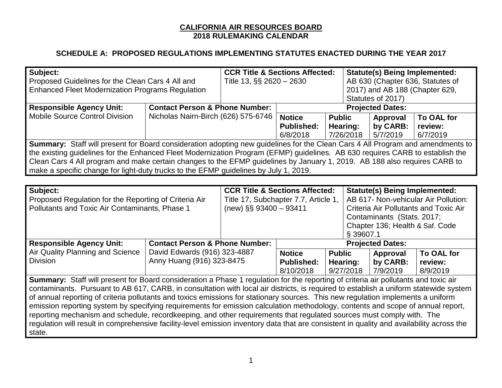| Subject:                                                                                                                                  |                                           | <b>CCR Title &amp; Sections Affected:</b><br><b>Statute(s) Being Implemented:</b> |                         |               |                                  |                            |  |  |  |
|-------------------------------------------------------------------------------------------------------------------------------------------|-------------------------------------------|-----------------------------------------------------------------------------------|-------------------------|---------------|----------------------------------|----------------------------|--|--|--|
| Proposed Guidelines for the Clean Cars 4 All and                                                                                          |                                           | Title 13, §§ 2620 - 2630                                                          |                         |               | AB 630 (Chapter 636, Statutes of |                            |  |  |  |
| <b>Enhanced Fleet Modernization Programs Regulation</b>                                                                                   |                                           |                                                                                   |                         |               | 2017) and AB 188 (Chapter 629,   |                            |  |  |  |
|                                                                                                                                           |                                           |                                                                                   |                         |               | Statutes of 2017)                |                            |  |  |  |
| <b>Responsible Agency Unit:</b>                                                                                                           | <b>Contact Person &amp; Phone Number:</b> |                                                                                   | <b>Projected Dates:</b> |               |                                  |                            |  |  |  |
| <b>Mobile Source Control Division</b>                                                                                                     | Nicholas Nairn-Birch (626) 575-6746       |                                                                                   | <b>Notice</b>           | <b>Public</b> | <b>Approval</b>                  | To OAL for                 |  |  |  |
|                                                                                                                                           |                                           |                                                                                   | <b>Published:</b>       | Hearing:      | by CARB:                         | review:                    |  |  |  |
|                                                                                                                                           |                                           |                                                                                   | 6/8/2018                | 7/26/2018     | 5/7/2019                         | 6/7/2019                   |  |  |  |
| Summary: Staff will present for Board consideration adopting new guidelines for the Clean Cars 4 All Program and amendments to            |                                           |                                                                                   |                         |               |                                  |                            |  |  |  |
| the existing guidelines for the Enhanced Fleet Modernization Program (EFMP) guidelines. AB 630 requires CARB to establish the             |                                           |                                                                                   |                         |               |                                  |                            |  |  |  |
| Clean Cars 4 All program and make certain changes to the EFMP guidelines by January 1, 2019. AB 188 also requires CARB to                 |                                           |                                                                                   |                         |               |                                  |                            |  |  |  |
| make a specific change for light-duty trucks to the EFMP guidelines by July 1, 2019.                                                      |                                           |                                                                                   |                         |               |                                  |                            |  |  |  |
|                                                                                                                                           |                                           |                                                                                   |                         |               |                                  |                            |  |  |  |
| Subject:<br><b>CCR Title &amp; Sections Affected:</b><br><b>Statute(s) Being Implemented:</b>                                             |                                           |                                                                                   |                         |               |                                  |                            |  |  |  |
| Proposed Regulation for the Reporting of Criteria Air                                                                                     |                                           | AB 617- Non-vehicular Air Pollution:<br>Title 17, Subchapter 7.7, Article 1,      |                         |               |                                  |                            |  |  |  |
| Pollutants and Toxic Air Contaminants, Phase 1                                                                                            |                                           | (new) $\S$ § 93400 - 93411<br>Criteria Air Pollutants and Toxic Air               |                         |               |                                  |                            |  |  |  |
|                                                                                                                                           |                                           |                                                                                   |                         |               |                                  | Contaminants (Stats. 2017; |  |  |  |
|                                                                                                                                           |                                           |                                                                                   |                         |               | Chapter 136; Health & Saf. Code  |                            |  |  |  |
|                                                                                                                                           |                                           |                                                                                   |                         | § 39607.1     |                                  |                            |  |  |  |
| <b>Responsible Agency Unit:</b>                                                                                                           | <b>Contact Person &amp; Phone Number:</b> |                                                                                   |                         |               | <b>Projected Dates:</b>          |                            |  |  |  |
| Air Quality Planning and Science                                                                                                          | David Edwards (916) 323-4887              |                                                                                   | <b>Notice</b>           | <b>Public</b> | Approval                         | To OAL for                 |  |  |  |
| <b>Division</b>                                                                                                                           | Anny Huang (916) 323-8475                 |                                                                                   | <b>Published:</b>       | Hearing:      | by CARB:                         | review:                    |  |  |  |
|                                                                                                                                           |                                           |                                                                                   | 8/10/2018               | 9/27/2018     | 7/9/2019                         | 8/9/2019                   |  |  |  |
| Summary: Staff will present for Board consideration a Phase 1 regulation for the reporting of criteria air pollutants and toxic air       |                                           |                                                                                   |                         |               |                                  |                            |  |  |  |
| contaminants. Pursuant to AB 617, CARB, in consultation with local air districts, is required to establish a uniform statewide system     |                                           |                                                                                   |                         |               |                                  |                            |  |  |  |
| of annual reporting of criteria pollutants and toxics emissions for stationary sources. This new regulation implements a uniform          |                                           |                                                                                   |                         |               |                                  |                            |  |  |  |
| emission reporting system by specifying requirements for emission calculation methodology, contents and scope of annual report,           |                                           |                                                                                   |                         |               |                                  |                            |  |  |  |
| reporting mechanism and schedule, recordkeeping, and other requirements that regulated sources must comply with. The                      |                                           |                                                                                   |                         |               |                                  |                            |  |  |  |
| regulation will result in comprehensive facility-level emission inventory data that are consistent in quality and availability across the |                                           |                                                                                   |                         |               |                                  |                            |  |  |  |
| state.                                                                                                                                    |                                           |                                                                                   |                         |               |                                  |                            |  |  |  |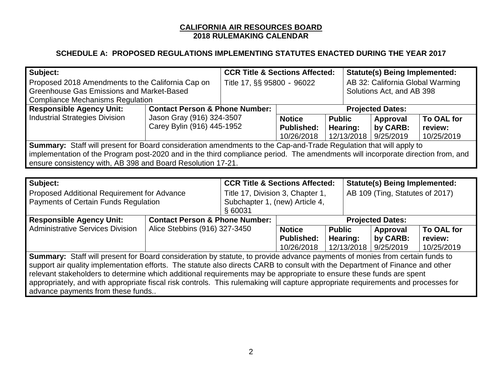| Subject:                                                                                                                        |                                           | <b>CCR Title &amp; Sections Affected:</b> |                   |                                  | <b>Statute(s) Being Implemented:</b>                        |            |  |  |  |  |  |
|---------------------------------------------------------------------------------------------------------------------------------|-------------------------------------------|-------------------------------------------|-------------------|----------------------------------|-------------------------------------------------------------|------------|--|--|--|--|--|
| Proposed 2018 Amendments to the California Cap on                                                                               | Title 17, §§ 95800 - 96022                |                                           |                   | AB 32: California Global Warming |                                                             |            |  |  |  |  |  |
| Greenhouse Gas Emissions and Market-Based                                                                                       |                                           |                                           |                   | Solutions Act, and AB 398        |                                                             |            |  |  |  |  |  |
| <b>Compliance Mechanisms Regulation</b>                                                                                         |                                           |                                           |                   |                                  |                                                             |            |  |  |  |  |  |
| <b>Responsible Agency Unit:</b>                                                                                                 | <b>Contact Person &amp; Phone Number:</b> | <b>Projected Dates:</b>                   |                   |                                  |                                                             |            |  |  |  |  |  |
| <b>Industrial Strategies Division</b>                                                                                           | Jason Gray (916) 324-3507                 |                                           | <b>Notice</b>     | <b>Public</b>                    | Approval                                                    | To OAL for |  |  |  |  |  |
|                                                                                                                                 | Carey Bylin (916) 445-1952                |                                           | <b>Published:</b> | Hearing:                         | by CARB:                                                    | review:    |  |  |  |  |  |
|                                                                                                                                 |                                           |                                           | 10/26/2018        | 12/13/2018                       | 9/25/2019                                                   | 10/25/2019 |  |  |  |  |  |
| Summary: Staff will present for Board consideration amendments to the Cap-and-Trade Regulation that will apply to               |                                           |                                           |                   |                                  |                                                             |            |  |  |  |  |  |
| implementation of the Program post-2020 and in the third compliance period. The amendments will incorporate direction from, and |                                           |                                           |                   |                                  |                                                             |            |  |  |  |  |  |
|                                                                                                                                 |                                           |                                           |                   |                                  | ensure consistency with, AB 398 and Board Resolution 17-21. |            |  |  |  |  |  |

| Subject:                                                                                                                          |                                           | <b>CCR Title &amp; Sections Affected:</b> |                   | <b>Statute(s) Being Implemented:</b> |           |            |
|-----------------------------------------------------------------------------------------------------------------------------------|-------------------------------------------|-------------------------------------------|-------------------|--------------------------------------|-----------|------------|
| Proposed Additional Requirement for Advance                                                                                       |                                           | Title 17, Division 3, Chapter 1,          |                   | AB 109 (Ting, Statutes of 2017)      |           |            |
| Payments of Certain Funds Regulation                                                                                              |                                           | Subchapter 1, (new) Article 4,            |                   |                                      |           |            |
|                                                                                                                                   |                                           |                                           |                   |                                      |           |            |
| <b>Responsible Agency Unit:</b>                                                                                                   | <b>Contact Person &amp; Phone Number:</b> |                                           |                   | <b>Projected Dates:</b>              |           |            |
| Administrative Services Division                                                                                                  | Alice Stebbins (916) 327-3450             |                                           | <b>Notice</b>     | <b>Public</b>                        | Approval  | To OAL for |
|                                                                                                                                   |                                           |                                           | <b>Published:</b> | Hearing:                             | by CARB:  | review:    |
|                                                                                                                                   |                                           |                                           | 10/26/2018        | 12/13/2018                           | 9/25/2019 | 10/25/2019 |
| Summary: Staff will present for Board consideration by statute, to provide advance payments of monies from certain funds to       |                                           |                                           |                   |                                      |           |            |
| support air quality implementation efforts. The statute also directs CARB to consult with the Department of Finance and other     |                                           |                                           |                   |                                      |           |            |
| relevant stakeholders to determine which additional requirements may be appropriate to ensure these funds are spent               |                                           |                                           |                   |                                      |           |            |
| appropriately, and with appropriate fiscal risk controls. This rulemaking will capture appropriate requirements and processes for |                                           |                                           |                   |                                      |           |            |
| advance payments from these funds                                                                                                 |                                           |                                           |                   |                                      |           |            |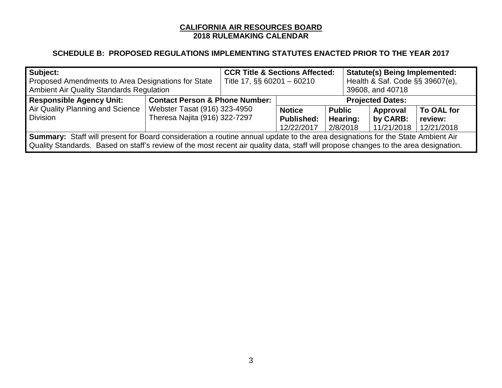| Subject:<br>Proposed Amendments to Area Designations for State<br><b>Ambient Air Quality Standards Regulation</b>                   | <b>CCR Title &amp; Sections Affected:</b><br><b>Statute(s) Being Implemented:</b><br>Health & Saf. Code §§ 39607(e),<br>Title 17, §§ 60201 - 60210<br>39608, and 40718 |  |                         |               |            |            |  |
|-------------------------------------------------------------------------------------------------------------------------------------|------------------------------------------------------------------------------------------------------------------------------------------------------------------------|--|-------------------------|---------------|------------|------------|--|
| <b>Responsible Agency Unit:</b>                                                                                                     | <b>Contact Person &amp; Phone Number:</b>                                                                                                                              |  | <b>Projected Dates:</b> |               |            |            |  |
| Air Quality Planning and Science                                                                                                    | Webster Tasat (916) 323-4950                                                                                                                                           |  | <b>Notice</b>           | <b>Public</b> | Approval   | To OAL for |  |
| <b>Division</b>                                                                                                                     | Theresa Najita (916) 322-7297                                                                                                                                          |  | <b>Published:</b>       | Hearing:      | by CARB:   | review:    |  |
|                                                                                                                                     |                                                                                                                                                                        |  | 12/22/2017              | 2/8/2018      | 11/21/2018 | 12/21/2018 |  |
| Summary: Staff will present for Board consideration a routine annual update to the area designations for the State Ambient Air      |                                                                                                                                                                        |  |                         |               |            |            |  |
| Quality Standards. Based on staff's review of the most recent air quality data, staff will propose changes to the area designation. |                                                                                                                                                                        |  |                         |               |            |            |  |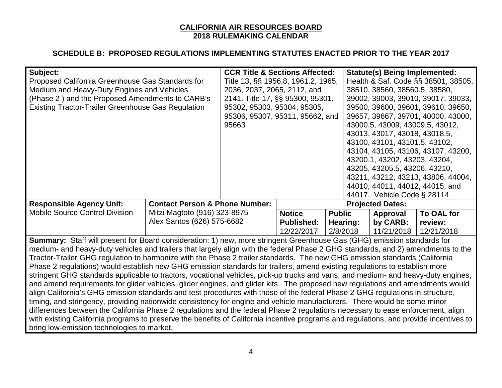| Subject:                                                                                                                               |                                           | <b>CCR Title &amp; Sections Affected:</b> |                   |                                    | <b>Statute(s) Being Implemented:</b> |                                     |  |  |
|----------------------------------------------------------------------------------------------------------------------------------------|-------------------------------------------|-------------------------------------------|-------------------|------------------------------------|--------------------------------------|-------------------------------------|--|--|
| Proposed California Greenhouse Gas Standards for                                                                                       |                                           | Title 13, §§ 1956.8, 1961.2, 1965,        |                   |                                    |                                      | Health & Saf. Code §§ 38501, 38505, |  |  |
| Medium and Heavy-Duty Engines and Vehicles                                                                                             |                                           | 2036, 2037, 2065, 2112, and               |                   |                                    | 38510, 38560, 38560.5, 38580,        |                                     |  |  |
| (Phase 2) and the Proposed Amendments to CARB's                                                                                        |                                           | 2141. Title 17, §§ 95300, 95301,          |                   | 39002, 39003, 39010, 39017, 39033, |                                      |                                     |  |  |
| <b>Existing Tractor-Trailer Greenhouse Gas Regulation</b>                                                                              |                                           | 95302, 95303, 95304, 95305,               |                   | 39500, 39600, 39601, 39610, 39650, |                                      |                                     |  |  |
|                                                                                                                                        |                                           | 95306, 95307, 95311, 95662, and           |                   |                                    | 39657, 39667, 39701, 40000, 43000,   |                                     |  |  |
|                                                                                                                                        |                                           | 95663                                     |                   |                                    | 43000.5, 43009, 43009.5, 43012,      |                                     |  |  |
|                                                                                                                                        |                                           |                                           |                   |                                    | 43013, 43017, 43018, 43018.5,        |                                     |  |  |
|                                                                                                                                        |                                           |                                           |                   |                                    | 43100, 43101, 43101.5, 43102,        |                                     |  |  |
|                                                                                                                                        |                                           |                                           |                   |                                    |                                      | 43104, 43105, 43106, 43107, 43200,  |  |  |
|                                                                                                                                        |                                           |                                           |                   |                                    | 43200.1, 43202, 43203, 43204,        |                                     |  |  |
|                                                                                                                                        |                                           |                                           |                   |                                    | 43205, 43205.5, 43206, 43210,        |                                     |  |  |
|                                                                                                                                        |                                           |                                           |                   |                                    |                                      | 43211, 43212, 43213, 43806, 44004,  |  |  |
|                                                                                                                                        |                                           |                                           |                   |                                    | 44010, 44011, 44012, 44015, and      |                                     |  |  |
|                                                                                                                                        |                                           |                                           |                   |                                    | 44017. Vehicle Code § 28114          |                                     |  |  |
| <b>Responsible Agency Unit:</b>                                                                                                        | <b>Contact Person &amp; Phone Number:</b> |                                           |                   |                                    | <b>Projected Dates:</b>              |                                     |  |  |
| <b>Mobile Source Control Division</b>                                                                                                  | Mitzi Magtoto (916) 323-8975              |                                           | <b>Notice</b>     | <b>Public</b>                      | Approval                             | To OAL for                          |  |  |
|                                                                                                                                        | Alex Santos (626) 575-6682                |                                           | <b>Published:</b> | Hearing:                           | by CARB:                             | review:                             |  |  |
|                                                                                                                                        |                                           |                                           | 12/22/2017        | 2/8/2018                           | 11/21/2018                           | 12/21/2018                          |  |  |
| Summary: Staff will present for Board consideration: 1) new, more stringent Greenhouse Gas (GHG) emission standards for                |                                           |                                           |                   |                                    |                                      |                                     |  |  |
| medium- and heavy-duty vehicles and trailers that largely align with the federal Phase 2 GHG standards, and 2) amendments to the       |                                           |                                           |                   |                                    |                                      |                                     |  |  |
| Tractor-Trailer GHG regulation to harmonize with the Phase 2 trailer standards. The new GHG emission standards (California             |                                           |                                           |                   |                                    |                                      |                                     |  |  |
| Phase 2 regulations) would establish new GHG emission standards for trailers, amend existing regulations to establish more             |                                           |                                           |                   |                                    |                                      |                                     |  |  |
| stringent GHG standards applicable to tractors, vocational vehicles, pick-up trucks and vans, and medium- and heavy-duty engines,      |                                           |                                           |                   |                                    |                                      |                                     |  |  |
| and amend requirements for glider vehicles, glider engines, and glider kits. The proposed new regulations and amendments would         |                                           |                                           |                   |                                    |                                      |                                     |  |  |
| align California's GHG emission standards and test procedures with those of the federal Phase 2 GHG regulations in structure,          |                                           |                                           |                   |                                    |                                      |                                     |  |  |
| timing, and stringency, providing nationwide consistency for engine and vehicle manufacturers. There would be some minor               |                                           |                                           |                   |                                    |                                      |                                     |  |  |
| differences between the California Phase 2 regulations and the federal Phase 2 regulations necessary to ease enforcement, align        |                                           |                                           |                   |                                    |                                      |                                     |  |  |
| with existing California programs to preserve the benefits of California incentive programs and regulations, and provide incentives to |                                           |                                           |                   |                                    |                                      |                                     |  |  |
| bring low-emission technologies to market.                                                                                             |                                           |                                           |                   |                                    |                                      |                                     |  |  |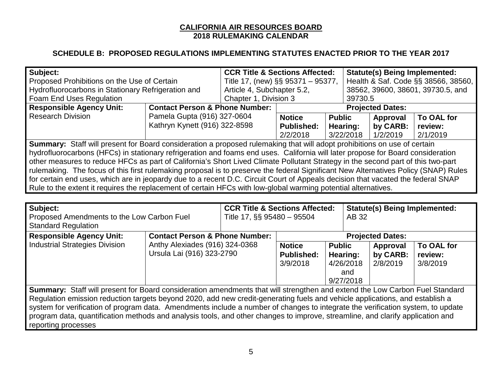### **SCHEDULE B: PROPOSED REGULATIONS IMPLEMENTING STATUTES ENACTED PRIOR TO THE YEAR 2017**

| Subject:                                                                                                                        |                                           | <b>CCR Title &amp; Sections Affected:</b> |                   |               | <b>Statute(s) Being Implemented:</b> |            |  |
|---------------------------------------------------------------------------------------------------------------------------------|-------------------------------------------|-------------------------------------------|-------------------|---------------|--------------------------------------|------------|--|
| Proposed Prohibitions on the Use of Certain                                                                                     |                                           | Title 17, (new) §§ 95371 - 95377,         |                   |               | Health & Saf. Code §§ 38566, 38560,  |            |  |
| Hydrofluorocarbons in Stationary Refrigeration and                                                                              | Article 4, Subchapter 5.2,                |                                           |                   |               | 38562, 39600, 38601, 39730.5, and    |            |  |
| Foam End Uses Regulation                                                                                                        | Chapter 1, Division 3                     |                                           | 39730.5           |               |                                      |            |  |
| <b>Responsible Agency Unit:</b>                                                                                                 | <b>Contact Person &amp; Phone Number:</b> | <b>Projected Dates:</b>                   |                   |               |                                      |            |  |
| <b>Research Division</b>                                                                                                        | Pamela Gupta (916) 327-0604               |                                           | <b>Notice</b>     | <b>Public</b> | Approval                             | To OAL for |  |
|                                                                                                                                 | Kathryn Kynett (916) 322-8598             |                                           | <b>Published:</b> | Hearing:      | by CARB:                             | review:    |  |
|                                                                                                                                 |                                           |                                           | 2/2/2018          | 3/22/2018     | 1/2/2019                             | 2/1/2019   |  |
| Summary: Staff will present for Board consideration a proposed rulemaking that will adopt prohibitions on use of certain        |                                           |                                           |                   |               |                                      |            |  |
| hydrofluorocarbons (HFCs) in stationary refrigeration and foams end uses. California will later propose for Board consideration |                                           |                                           |                   |               |                                      |            |  |
| atharmonic than the second of Colifornials Chart Lived Climate Dellutant Ctrategy in the cooped part of this two port           |                                           |                                           |                   |               |                                      |            |  |

other measures to reduce HFCs as part of California's Short Lived Climate Pollutant Strategy in the second part of this two-part rulemaking. The focus of this first rulemaking proposal is to preserve the federal Significant New Alternatives Policy (SNAP) Rules for certain end uses, which are in jeopardy due to a recent D.C. Circuit Court of Appeals decision that vacated the federal SNAP Rule to the extent it requires the replacement of certain HFCs with low-global warming potential alternatives.

| Subject:<br>Proposed Amendments to the Low Carbon Fuel<br><b>Standard Regulation</b>                                                                                                                                                                                                                                                                                                                                                                                                                                                                    |                                                             | <b>CCR Title &amp; Sections Affected:</b><br>Title 17, $\S$ $S$ 95480 – 95504 |                                                | <b>Statute(s) Being Implemented:</b><br>AB 32                     |                                  |                                   |  |
|---------------------------------------------------------------------------------------------------------------------------------------------------------------------------------------------------------------------------------------------------------------------------------------------------------------------------------------------------------------------------------------------------------------------------------------------------------------------------------------------------------------------------------------------------------|-------------------------------------------------------------|-------------------------------------------------------------------------------|------------------------------------------------|-------------------------------------------------------------------|----------------------------------|-----------------------------------|--|
| <b>Responsible Agency Unit:</b>                                                                                                                                                                                                                                                                                                                                                                                                                                                                                                                         | <b>Contact Person &amp; Phone Number:</b>                   |                                                                               |                                                | <b>Projected Dates:</b>                                           |                                  |                                   |  |
| <b>Industrial Strategies Division</b>                                                                                                                                                                                                                                                                                                                                                                                                                                                                                                                   | Anthy Alexiades (916) 324-0368<br>Ursula Lai (916) 323-2790 |                                                                               | <b>Notice</b><br><b>Published:</b><br>3/9/2018 | <b>Public</b><br><b>Hearing:</b><br>4/26/2018<br>and<br>9/27/2018 | Approval<br>by CARB:<br>2/8/2019 | To OAL for<br>review:<br>3/8/2019 |  |
|                                                                                                                                                                                                                                                                                                                                                                                                                                                                                                                                                         |                                                             |                                                                               |                                                |                                                                   |                                  |                                   |  |
| Summary: Staff will present for Board consideration amendments that will strengthen and extend the Low Carbon Fuel Standard<br>Regulation emission reduction targets beyond 2020, add new credit-generating fuels and vehicle applications, and establish a<br>system for verification of program data. Amendments include a number of changes to integrate the verification system, to update<br>program data, quantification methods and analysis tools, and other changes to improve, streamline, and clarify application and<br>reporting processes |                                                             |                                                                               |                                                |                                                                   |                                  |                                   |  |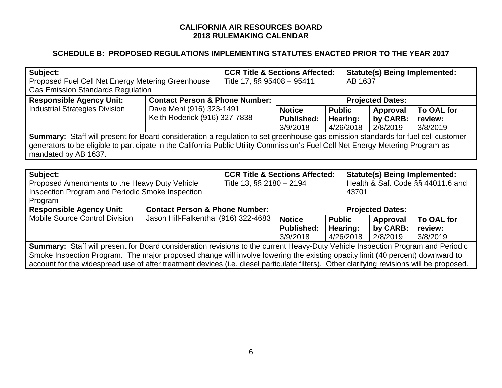| Subject:                                                                                                                                                                                                                                                                   |                                           |                                           | <b>CCR Title &amp; Sections Affected:</b><br><b>Statute(s) Being Implemented:</b> |               |           |                                      |                                     |  |
|----------------------------------------------------------------------------------------------------------------------------------------------------------------------------------------------------------------------------------------------------------------------------|-------------------------------------------|-------------------------------------------|-----------------------------------------------------------------------------------|---------------|-----------|--------------------------------------|-------------------------------------|--|
| Proposed Fuel Cell Net Energy Metering Greenhouse                                                                                                                                                                                                                          |                                           | Title 17, §§ 95408 - 95411                |                                                                                   |               | AB 1637   |                                      |                                     |  |
| <b>Gas Emission Standards Regulation</b>                                                                                                                                                                                                                                   |                                           |                                           |                                                                                   |               |           |                                      |                                     |  |
| <b>Responsible Agency Unit:</b>                                                                                                                                                                                                                                            | <b>Contact Person &amp; Phone Number:</b> |                                           | <b>Projected Dates:</b>                                                           |               |           |                                      |                                     |  |
| <b>Industrial Strategies Division</b>                                                                                                                                                                                                                                      | Dave Mehl (916) 323-1491                  |                                           | <b>Notice</b>                                                                     | <b>Public</b> |           | Approval                             | To OAL for                          |  |
|                                                                                                                                                                                                                                                                            | Keith Roderick (916) 327-7838             |                                           | <b>Published:</b>                                                                 | Hearing:      |           | by CARB:                             | review:                             |  |
|                                                                                                                                                                                                                                                                            |                                           |                                           | 3/9/2018                                                                          | 4/26/2018     |           | 2/8/2019                             | 3/8/2019                            |  |
| <b>Summary:</b> Staff will present for Board consideration a regulation to set greenhouse gas emission standards for fuel cell customer                                                                                                                                    |                                           |                                           |                                                                                   |               |           |                                      |                                     |  |
| generators to be eligible to participate in the California Public Utility Commission's Fuel Cell Net Energy Metering Program as                                                                                                                                            |                                           |                                           |                                                                                   |               |           |                                      |                                     |  |
| mandated by AB 1637.                                                                                                                                                                                                                                                       |                                           |                                           |                                                                                   |               |           |                                      |                                     |  |
|                                                                                                                                                                                                                                                                            |                                           |                                           |                                                                                   |               |           |                                      |                                     |  |
|                                                                                                                                                                                                                                                                            |                                           |                                           |                                                                                   |               |           |                                      |                                     |  |
| Subject:                                                                                                                                                                                                                                                                   |                                           | <b>CCR Title &amp; Sections Affected:</b> |                                                                                   |               |           | <b>Statute(s) Being Implemented:</b> |                                     |  |
| Proposed Amendments to the Heavy Duty Vehicle                                                                                                                                                                                                                              |                                           | Title 13, $\S$ 2180 - 2194                |                                                                                   |               |           |                                      | Health & Saf. Code $\S$ 44011.6 and |  |
| <b>Inspection Program and Periodic Smoke Inspection</b>                                                                                                                                                                                                                    |                                           |                                           |                                                                                   |               | 43701     |                                      |                                     |  |
| Program                                                                                                                                                                                                                                                                    |                                           |                                           |                                                                                   |               |           |                                      |                                     |  |
| <b>Responsible Agency Unit:</b>                                                                                                                                                                                                                                            | <b>Contact Person &amp; Phone Number:</b> |                                           |                                                                                   |               |           | <b>Projected Dates:</b>              |                                     |  |
| <b>Mobile Source Control Division</b>                                                                                                                                                                                                                                      | Jason Hill-Falkenthal (916) 322-4683      |                                           | <b>Notice</b>                                                                     | <b>Public</b> |           | Approval                             | To OAL for                          |  |
|                                                                                                                                                                                                                                                                            |                                           |                                           | <b>Published:</b>                                                                 |               | Hearing:  | by CARB:                             | review:                             |  |
|                                                                                                                                                                                                                                                                            |                                           |                                           | 3/9/2018                                                                          |               | 4/26/2018 | 2/8/2019                             | 3/8/2019                            |  |
| Summary: Staff will present for Board consideration revisions to the current Heavy-Duty Vehicle Inspection Program and Periodic                                                                                                                                            |                                           |                                           |                                                                                   |               |           |                                      |                                     |  |
| Smoke Inspection Program. The major proposed change will involve lowering the existing opacity limit (40 percent) downward to<br>account for the widespread use of after treatment devices (i.e. diesel particulate filters). Other clarifying revisions will be proposed. |                                           |                                           |                                                                                   |               |           |                                      |                                     |  |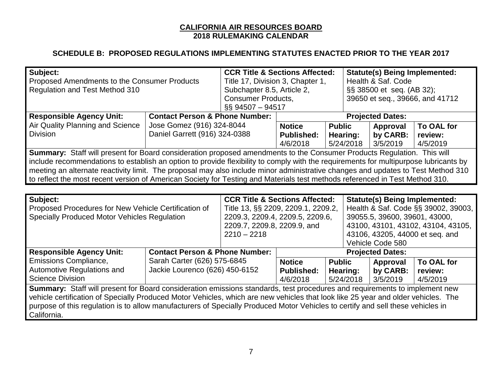| Subject:                                                                                                                                                                                                                                                             |                                           | <b>CCR Title &amp; Sections Affected:</b>                                         |                                                              |               |                                    | <b>Statute(s) Being Implemented:</b> |                                     |  |
|----------------------------------------------------------------------------------------------------------------------------------------------------------------------------------------------------------------------------------------------------------------------|-------------------------------------------|-----------------------------------------------------------------------------------|--------------------------------------------------------------|---------------|------------------------------------|--------------------------------------|-------------------------------------|--|
| Proposed Amendments to the Consumer Products                                                                                                                                                                                                                         |                                           | Title 17, Division 3, Chapter 1,                                                  |                                                              |               |                                    | Health & Saf. Code                   |                                     |  |
| <b>Regulation and Test Method 310</b>                                                                                                                                                                                                                                |                                           | Subchapter 8.5, Article 2,<br>§§ 38500 et seq. (AB 32);                           |                                                              |               |                                    |                                      |                                     |  |
|                                                                                                                                                                                                                                                                      |                                           |                                                                                   | <b>Consumer Products,</b><br>39650 et seq., 39666, and 41712 |               |                                    |                                      |                                     |  |
|                                                                                                                                                                                                                                                                      |                                           |                                                                                   | $\S$ 94507 - 94517                                           |               |                                    |                                      |                                     |  |
| <b>Responsible Agency Unit:</b>                                                                                                                                                                                                                                      | <b>Contact Person &amp; Phone Number:</b> |                                                                                   |                                                              |               |                                    | <b>Projected Dates:</b>              |                                     |  |
| Air Quality Planning and Science                                                                                                                                                                                                                                     | Jose Gomez (916) 324-8044                 |                                                                                   | <b>Notice</b>                                                | <b>Public</b> |                                    | <b>Approval</b>                      | To OAL for                          |  |
| <b>Division</b>                                                                                                                                                                                                                                                      | Daniel Garrett (916) 324-0388             |                                                                                   | <b>Published:</b>                                            | Hearing:      |                                    | by CARB:                             | review:                             |  |
|                                                                                                                                                                                                                                                                      |                                           |                                                                                   |                                                              |               | 5/24/2018                          | 3/5/2019                             | 4/5/2019                            |  |
| Summary: Staff will present for Board consideration proposed amendments to the Consumer Products Regulation. This will                                                                                                                                               |                                           |                                                                                   |                                                              |               |                                    |                                      |                                     |  |
| include recommendations to establish an option to provide flexibility to comply with the requirements for multipurpose lubricants by                                                                                                                                 |                                           |                                                                                   |                                                              |               |                                    |                                      |                                     |  |
| meeting an alternate reactivity limit. The proposal may also include minor administrative changes and updates to Test Method 310                                                                                                                                     |                                           |                                                                                   |                                                              |               |                                    |                                      |                                     |  |
| to reflect the most recent version of American Society for Testing and Materials test methods referenced in Test Method 310.                                                                                                                                         |                                           |                                                                                   |                                                              |               |                                    |                                      |                                     |  |
|                                                                                                                                                                                                                                                                      |                                           |                                                                                   |                                                              |               |                                    |                                      |                                     |  |
| Subject:                                                                                                                                                                                                                                                             |                                           | <b>CCR Title &amp; Sections Affected:</b><br><b>Statute(s) Being Implemented:</b> |                                                              |               |                                    |                                      |                                     |  |
| Proposed Procedures for New Vehicle Certification of                                                                                                                                                                                                                 |                                           | Title 13, §§ 2209, 2209.1, 2209.2,                                                |                                                              |               |                                    |                                      | Health & Saf. Code §§ 39002, 39003, |  |
| <b>Specially Produced Motor Vehicles Regulation</b>                                                                                                                                                                                                                  |                                           | 2209.3, 2209.4, 2209.5, 2209.6,                                                   |                                                              |               | 39055.5, 39600, 39601, 43000,      |                                      |                                     |  |
|                                                                                                                                                                                                                                                                      |                                           | 2209.7, 2209.8, 2209.9, and                                                       |                                                              |               | 43100, 43101, 43102, 43104, 43105, |                                      |                                     |  |
|                                                                                                                                                                                                                                                                      |                                           | $2210 - 2218$                                                                     |                                                              |               |                                    |                                      | 43106, 43205, 44000 et seq. and     |  |
|                                                                                                                                                                                                                                                                      |                                           |                                                                                   |                                                              |               |                                    | Vehicle Code 580                     |                                     |  |
| <b>Responsible Agency Unit:</b>                                                                                                                                                                                                                                      | <b>Contact Person &amp; Phone Number:</b> |                                                                                   |                                                              |               |                                    | <b>Projected Dates:</b>              |                                     |  |
| <b>Emissions Compliance,</b>                                                                                                                                                                                                                                         | Sarah Carter (626) 575-6845               |                                                                                   | <b>Notice</b>                                                | <b>Public</b> |                                    | Approval                             | To OAL for                          |  |
| Automotive Regulations and                                                                                                                                                                                                                                           | Jackie Lourenco (626) 450-6152            |                                                                                   | <b>Published:</b>                                            | Hearing:      |                                    | by CARB:                             | review:                             |  |
| <b>Science Division</b>                                                                                                                                                                                                                                              |                                           |                                                                                   | 4/6/2018                                                     | 5/24/2018     |                                    | 3/5/2019                             | 4/5/2019                            |  |
| Summary: Staff will present for Board consideration emissions standards, test procedures and requirements to implement new                                                                                                                                           |                                           |                                                                                   |                                                              |               |                                    |                                      |                                     |  |
|                                                                                                                                                                                                                                                                      |                                           |                                                                                   |                                                              |               |                                    |                                      |                                     |  |
|                                                                                                                                                                                                                                                                      |                                           |                                                                                   |                                                              |               |                                    |                                      |                                     |  |
| vehicle certification of Specially Produced Motor Vehicles, which are new vehicles that look like 25 year and older vehicles. The<br>purpose of this regulation is to allow manufacturers of Specially Produced Motor Vehicles to certify and sell these vehicles in |                                           |                                                                                   |                                                              |               |                                    |                                      |                                     |  |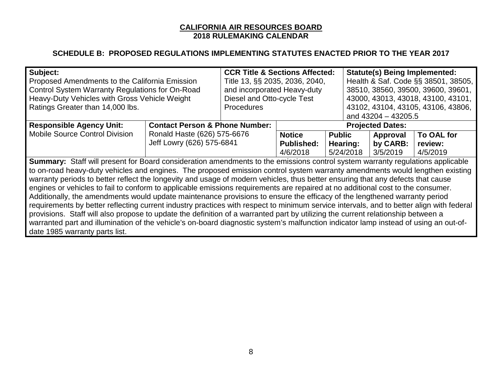| Subject:                                                                                                                                 |                                           | <b>CCR Title &amp; Sections Affected:</b> |                   |                         | <b>Statute(s) Being Implemented:</b> |                                    |  |
|------------------------------------------------------------------------------------------------------------------------------------------|-------------------------------------------|-------------------------------------------|-------------------|-------------------------|--------------------------------------|------------------------------------|--|
| Proposed Amendments to the California Emission                                                                                           |                                           | Title 13, §§ 2035, 2036, 2040,            |                   |                         | Health & Saf. Code §§ 38501, 38505,  |                                    |  |
| Control System Warranty Regulations for On-Road                                                                                          |                                           | and incorporated Heavy-duty               |                   |                         |                                      | 38510, 38560, 39500, 39600, 39601, |  |
| Heavy-Duty Vehicles with Gross Vehicle Weight                                                                                            |                                           | Diesel and Otto-cycle Test                |                   |                         |                                      | 43000, 43013, 43018, 43100, 43101, |  |
| Ratings Greater than 14,000 lbs.                                                                                                         |                                           | <b>Procedures</b>                         |                   |                         |                                      | 43102, 43104, 43105, 43106, 43806, |  |
|                                                                                                                                          |                                           |                                           |                   |                         | and 43204 - 43205.5                  |                                    |  |
| <b>Responsible Agency Unit:</b>                                                                                                          | <b>Contact Person &amp; Phone Number:</b> |                                           |                   | <b>Projected Dates:</b> |                                      |                                    |  |
| <b>Mobile Source Control Division</b>                                                                                                    | Ronald Haste (626) 575-6676               |                                           | <b>Notice</b>     | <b>Public</b>           | Approval                             | To OAL for                         |  |
|                                                                                                                                          | Jeff Lowry (626) 575-6841                 |                                           | <b>Published:</b> | Hearing:                | by CARB:                             | review:                            |  |
|                                                                                                                                          |                                           |                                           | 4/6/2018          | 5/24/2018               | 3/5/2019                             | 4/5/2019                           |  |
| Summary: Staff will present for Board consideration amendments to the emissions control system warranty regulations applicable           |                                           |                                           |                   |                         |                                      |                                    |  |
| to on-road heavy-duty vehicles and engines. The proposed emission control system warranty amendments would lengthen existing             |                                           |                                           |                   |                         |                                      |                                    |  |
| warranty periods to better reflect the longevity and usage of modern vehicles, thus better ensuring that any defects that cause          |                                           |                                           |                   |                         |                                      |                                    |  |
| engines or vehicles to fail to conform to applicable emissions requirements are repaired at no additional cost to the consumer.          |                                           |                                           |                   |                         |                                      |                                    |  |
| Additionally, the amendments would update maintenance provisions to ensure the efficacy of the lengthened warranty period                |                                           |                                           |                   |                         |                                      |                                    |  |
| requirements by better reflecting current industry practices with respect to minimum service intervals, and to better align with federal |                                           |                                           |                   |                         |                                      |                                    |  |
| provisions. Staff will also propose to update the definition of a warranted part by utilizing the current relationship between a         |                                           |                                           |                   |                         |                                      |                                    |  |
| warranted part and illumination of the vehicle's on-board diagnostic system's malfunction indicator lamp instead of using an out-of-     |                                           |                                           |                   |                         |                                      |                                    |  |
| date 1985 warranty parts list.                                                                                                           |                                           |                                           |                   |                         |                                      |                                    |  |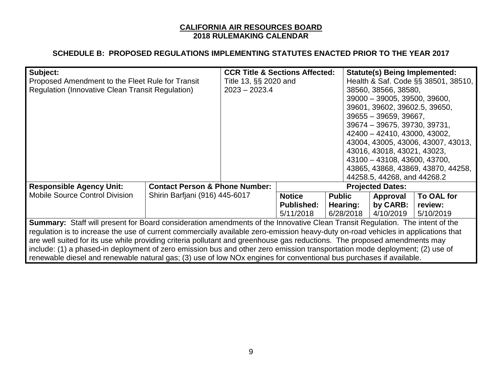| Subject:                                                                                                                            |                                           | <b>CCR Title &amp; Sections Affected:</b> |                   |               |                                     | <b>Statute(s) Being Implemented:</b> |                                    |  |
|-------------------------------------------------------------------------------------------------------------------------------------|-------------------------------------------|-------------------------------------------|-------------------|---------------|-------------------------------------|--------------------------------------|------------------------------------|--|
| Proposed Amendment to the Fleet Rule for Transit                                                                                    |                                           | Title 13, §§ 2020 and                     |                   |               | Health & Saf. Code §§ 38501, 38510, |                                      |                                    |  |
| <b>Regulation (Innovative Clean Transit Regulation)</b>                                                                             |                                           | $2023 - 2023.4$                           |                   |               | 38560, 38566, 38580,                |                                      |                                    |  |
|                                                                                                                                     |                                           |                                           |                   |               | $39000 - 39005, 39500, 39600,$      |                                      |                                    |  |
|                                                                                                                                     |                                           |                                           |                   |               |                                     | 39601, 39602, 39602.5, 39650,        |                                    |  |
|                                                                                                                                     |                                           |                                           |                   |               |                                     | $39655 - 39659, 39667,$              |                                    |  |
|                                                                                                                                     |                                           |                                           |                   |               |                                     |                                      |                                    |  |
|                                                                                                                                     |                                           |                                           |                   |               |                                     | $39674 - 39675, 39730, 39731,$       |                                    |  |
|                                                                                                                                     |                                           |                                           |                   |               |                                     | 42400 - 42410, 43000, 43002,         |                                    |  |
|                                                                                                                                     |                                           |                                           |                   |               | 43004, 43005, 43006, 43007, 43013,  |                                      |                                    |  |
|                                                                                                                                     |                                           |                                           |                   |               | 43016, 43018, 43021, 43023,         |                                      |                                    |  |
|                                                                                                                                     |                                           |                                           |                   |               | 43100 - 43108, 43600, 43700,        |                                      |                                    |  |
|                                                                                                                                     |                                           |                                           |                   |               |                                     |                                      | 43865, 43868, 43869, 43870, 44258, |  |
|                                                                                                                                     |                                           |                                           |                   |               |                                     | 44258.5, 44268, and 44268.2          |                                    |  |
| <b>Responsible Agency Unit:</b>                                                                                                     | <b>Contact Person &amp; Phone Number:</b> |                                           |                   |               | <b>Projected Dates:</b>             |                                      |                                    |  |
| <b>Mobile Source Control Division</b>                                                                                               | Shirin Barfjani (916) 445-6017            |                                           | <b>Notice</b>     | <b>Public</b> |                                     | Approval                             | To OAL for                         |  |
|                                                                                                                                     |                                           |                                           | <b>Published:</b> |               | Hearing:                            | by CARB:                             | review:                            |  |
|                                                                                                                                     |                                           |                                           | 5/11/2018         |               | 6/28/2018                           | 4/10/2019                            | 5/10/2019                          |  |
| <b>Summary:</b> Staff will present for Board consideration amendments of the Innovative Clean Transit Regulation. The intent of the |                                           |                                           |                   |               |                                     |                                      |                                    |  |
| regulation is to increase the use of current commercially available zero-emission heavy-duty on-road vehicles in applications that  |                                           |                                           |                   |               |                                     |                                      |                                    |  |
| are well suited for its use while providing criteria pollutant and greenhouse gas reductions. The proposed amendments may           |                                           |                                           |                   |               |                                     |                                      |                                    |  |
| include: (1) a phased-in deployment of zero emission bus and other zero emission transportation mode deployment; (2) use of         |                                           |                                           |                   |               |                                     |                                      |                                    |  |
| renewable diesel and renewable natural gas; (3) use of low NO <sub>x</sub> engines for conventional bus purchases if available.     |                                           |                                           |                   |               |                                     |                                      |                                    |  |
|                                                                                                                                     |                                           |                                           |                   |               |                                     |                                      |                                    |  |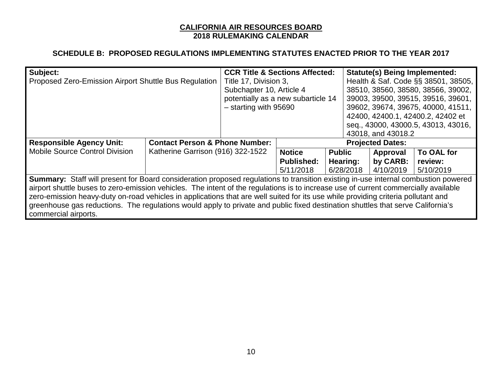| Subject:<br>Proposed Zero-Emission Airport Shuttle Bus Regulation                                                                                                                                                                                                                                                                                                                                                                                                                                                                                                         |                                           | <b>CCR Title &amp; Sections Affected:</b><br>Title 17, Division 3,<br>Subchapter 10, Article 4<br>potentially as a new subarticle 14<br>- starting with 95690 |                   | <b>Statute(s) Being Implemented:</b><br>Health & Saf. Code §§ 38501, 38505,<br>38510, 38560, 38580, 38566, 39002,<br>39003, 39500, 39515, 39516, 39601,<br>39602, 39674, 39675, 40000, 41511,<br>42400, 42400.1, 42400.2, 42402 et<br>seq., 43000, 43000.5, 43013, 43016,<br>43018, and 43018.2 |                         |            |  |  |
|---------------------------------------------------------------------------------------------------------------------------------------------------------------------------------------------------------------------------------------------------------------------------------------------------------------------------------------------------------------------------------------------------------------------------------------------------------------------------------------------------------------------------------------------------------------------------|-------------------------------------------|---------------------------------------------------------------------------------------------------------------------------------------------------------------|-------------------|-------------------------------------------------------------------------------------------------------------------------------------------------------------------------------------------------------------------------------------------------------------------------------------------------|-------------------------|------------|--|--|
| <b>Responsible Agency Unit:</b>                                                                                                                                                                                                                                                                                                                                                                                                                                                                                                                                           | <b>Contact Person &amp; Phone Number:</b> |                                                                                                                                                               |                   |                                                                                                                                                                                                                                                                                                 | <b>Projected Dates:</b> |            |  |  |
| <b>Mobile Source Control Division</b>                                                                                                                                                                                                                                                                                                                                                                                                                                                                                                                                     | Katherine Garrison (916) 322-1522         |                                                                                                                                                               | <b>Notice</b>     | <b>Public</b>                                                                                                                                                                                                                                                                                   | Approval                | To OAL for |  |  |
|                                                                                                                                                                                                                                                                                                                                                                                                                                                                                                                                                                           |                                           |                                                                                                                                                               | <b>Published:</b> | <b>Hearing:</b>                                                                                                                                                                                                                                                                                 | by CARB:                | review:    |  |  |
|                                                                                                                                                                                                                                                                                                                                                                                                                                                                                                                                                                           |                                           |                                                                                                                                                               | 5/11/2018         | 6/28/2018                                                                                                                                                                                                                                                                                       | 4/10/2019               | 5/10/2019  |  |  |
| Summary: Staff will present for Board consideration proposed regulations to transition existing in-use internal combustion powered<br>airport shuttle buses to zero-emission vehicles. The intent of the regulations is to increase use of current commercially available<br>zero-emission heavy-duty on-road vehicles in applications that are well suited for its use while providing criteria pollutant and<br>greenhouse gas reductions. The regulations would apply to private and public fixed destination shuttles that serve California's<br>commercial airports. |                                           |                                                                                                                                                               |                   |                                                                                                                                                                                                                                                                                                 |                         |            |  |  |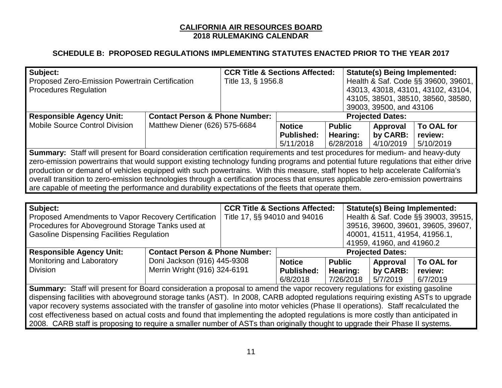### **SCHEDULE B: PROPOSED REGULATIONS IMPLEMENTING STATUTES ENACTED PRIOR TO THE YEAR 2017**

| Subject:<br>Proposed Zero-Emission Powertrain Certification<br><b>Procedures Regulation</b>                                                                                                                                                                                                                                                                                                                                                                                                                                                                                                                                                           |                                           | <b>CCR Title &amp; Sections Affected:</b><br>Title 13, § 1956.8                                                                                                                                 |                                                 |                                        | <b>Statute(s) Being Implemented:</b><br>Health & Saf. Code §§ 39600, 39601,<br>43013, 43018, 43101, 43102, 43104,<br>43105, 38501, 38510, 38560, 38580,<br>39003, 39500, and 43106 |                                    |  |
|-------------------------------------------------------------------------------------------------------------------------------------------------------------------------------------------------------------------------------------------------------------------------------------------------------------------------------------------------------------------------------------------------------------------------------------------------------------------------------------------------------------------------------------------------------------------------------------------------------------------------------------------------------|-------------------------------------------|-------------------------------------------------------------------------------------------------------------------------------------------------------------------------------------------------|-------------------------------------------------|----------------------------------------|------------------------------------------------------------------------------------------------------------------------------------------------------------------------------------|------------------------------------|--|
| <b>Responsible Agency Unit:</b>                                                                                                                                                                                                                                                                                                                                                                                                                                                                                                                                                                                                                       | <b>Contact Person &amp; Phone Number:</b> |                                                                                                                                                                                                 |                                                 |                                        | <b>Projected Dates:</b>                                                                                                                                                            |                                    |  |
| <b>Mobile Source Control Division</b>                                                                                                                                                                                                                                                                                                                                                                                                                                                                                                                                                                                                                 | Matthew Diener (626) 575-6684             |                                                                                                                                                                                                 | <b>Notice</b><br><b>Published:</b><br>5/11/2018 | <b>Public</b><br>Hearing:<br>6/28/2018 | Approval<br>by CARB:<br>4/10/2019                                                                                                                                                  | To OAL for<br>review:<br>5/10/2019 |  |
| Summary: Staff will present for Board consideration certification requirements and test procedures for medium- and heavy-duty<br>zero-emission powertrains that would support existing technology funding programs and potential future regulations that either drive<br>production or demand of vehicles equipped with such powertrains. With this measure, staff hopes to help accelerate California's<br>overall transition to zero-emission technologies through a certification process that ensures applicable zero-emission powertrains<br>are capable of meeting the performance and durability expectations of the fleets that operate them. |                                           |                                                                                                                                                                                                 |                                                 |                                        |                                                                                                                                                                                    |                                    |  |
|                                                                                                                                                                                                                                                                                                                                                                                                                                                                                                                                                                                                                                                       |                                           |                                                                                                                                                                                                 |                                                 |                                        |                                                                                                                                                                                    |                                    |  |
| Subject:<br>Proposed Amendments to Vapor Recovery Certification<br>Procedures for Aboveground Storage Tanks used at<br><b>Gasoline Dispensing Facilities Regulation</b>                                                                                                                                                                                                                                                                                                                                                                                                                                                                               | Title 17, §§ 94010 and 94016              | <b>CCR Title &amp; Sections Affected:</b><br><b>Statute(s) Being Implemented:</b><br>Health & Saf. Code §§ 39003, 39515,<br>39516, 39600, 39601, 39605, 39607,<br>40001, 41511, 41954, 41956.1, |                                                 |                                        |                                                                                                                                                                                    |                                    |  |

|                                  |                                  |  | 41959, 41960, and 41960.2 |               |          |            |  |  |
|----------------------------------|----------------------------------|--|---------------------------|---------------|----------|------------|--|--|
| <b>Responsible Agency Unit:</b>  | ' Contact Person & Phone Number: |  |                           |               |          |            |  |  |
| <b>Monitoring and Laboratory</b> | Doni Jackson (916) 445-9308      |  | <b>Notice</b>             | <b>Public</b> | Approval | To OAL for |  |  |
| <b>Division</b>                  | Merrin Wright (916) 324-6191     |  | <b>Published:</b>         | Hearing:      | by CARB: | review:    |  |  |
|                                  |                                  |  | 6/8/2018                  | 7/26/2018     | 5/7/2019 | 6/7/2019   |  |  |

**Summary:** Staff will present for Board consideration a proposal to amend the vapor recovery regulations for existing gasoline dispensing facilities with aboveground storage tanks (AST). In 2008, CARB adopted regulations requiring existing ASTs to upgrade vapor recovery systems associated with the transfer of gasoline into motor vehicles (Phase II operations). Staff recalculated the cost effectiveness based on actual costs and found that implementing the adopted regulations is more costly than anticipated in 2008. CARB staff is proposing to require a smaller number of ASTs than originally thought to upgrade their Phase II systems.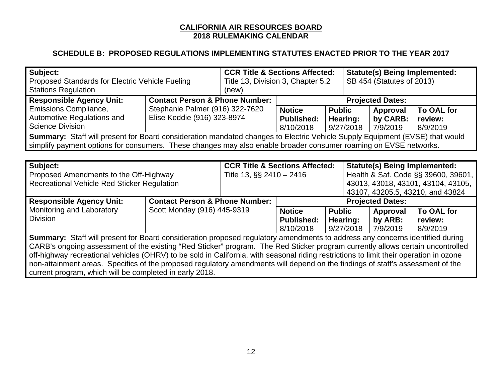| Subject:<br>Proposed Standards for Electric Vehicle Fueling<br><b>Stations Regulation</b>                                                                                                                                                                                                                                                                                                                                                                                                                                                                                                             |                                                                | <b>CCR Title &amp; Sections Affected:</b><br><b>Statute(s) Being Implemented:</b><br>SB 454 (Statutes of 2013)<br>Title 13, Division 3, Chapter 5.2<br>(new)                                       |                                                 |                                               |                                  |                                   |  |  |
|-------------------------------------------------------------------------------------------------------------------------------------------------------------------------------------------------------------------------------------------------------------------------------------------------------------------------------------------------------------------------------------------------------------------------------------------------------------------------------------------------------------------------------------------------------------------------------------------------------|----------------------------------------------------------------|----------------------------------------------------------------------------------------------------------------------------------------------------------------------------------------------------|-------------------------------------------------|-----------------------------------------------|----------------------------------|-----------------------------------|--|--|
| <b>Responsible Agency Unit:</b>                                                                                                                                                                                                                                                                                                                                                                                                                                                                                                                                                                       | <b>Contact Person &amp; Phone Number:</b>                      | <b>Projected Dates:</b>                                                                                                                                                                            |                                                 |                                               |                                  |                                   |  |  |
| <b>Emissions Compliance,</b><br>Automotive Regulations and<br><b>Science Division</b>                                                                                                                                                                                                                                                                                                                                                                                                                                                                                                                 | Stephanie Palmer (916) 322-7620<br>Elise Keddie (916) 323-8974 |                                                                                                                                                                                                    | <b>Notice</b><br><b>Published:</b><br>8/10/2018 | <b>Public</b><br>Hearing:<br>9/27/2018        | Approval<br>by CARB:<br>7/9/2019 | To OAL for<br>review:<br>8/9/2019 |  |  |
| <b>Summary:</b> Staff will present for Board consideration mandated changes to Electric Vehicle Supply Equipment (EVSE) that would<br>simplify payment options for consumers. These changes may also enable broader consumer roaming on EVSE networks.                                                                                                                                                                                                                                                                                                                                                |                                                                |                                                                                                                                                                                                    |                                                 |                                               |                                  |                                   |  |  |
|                                                                                                                                                                                                                                                                                                                                                                                                                                                                                                                                                                                                       |                                                                |                                                                                                                                                                                                    |                                                 |                                               |                                  |                                   |  |  |
| Subject:<br>Proposed Amendments to the Off-Highway<br>Recreational Vehicle Red Sticker Regulation                                                                                                                                                                                                                                                                                                                                                                                                                                                                                                     | Title 13, §§ 2410 - 2416                                       | <b>CCR Title &amp; Sections Affected:</b><br><b>Statute(s) Being Implemented:</b><br>Health & Saf. Code §§ 39600, 39601,<br>43013, 43018, 43101, 43104, 43105,<br>43107, 43205.5, 43210, and 43824 |                                                 |                                               |                                  |                                   |  |  |
| <b>Responsible Agency Unit:</b>                                                                                                                                                                                                                                                                                                                                                                                                                                                                                                                                                                       | <b>Contact Person &amp; Phone Number:</b>                      |                                                                                                                                                                                                    |                                                 |                                               | <b>Projected Dates:</b>          |                                   |  |  |
| Monitoring and Laboratory<br><b>Division</b>                                                                                                                                                                                                                                                                                                                                                                                                                                                                                                                                                          | Scott Monday (916) 445-9319                                    |                                                                                                                                                                                                    | <b>Notice</b><br><b>Published:</b><br>8/10/2018 | <b>Public</b><br><b>Hearing:</b><br>9/27/2018 | Approval<br>by ARB:<br>7/9/2019  | To OAL for<br>review:<br>8/9/2019 |  |  |
| Summary: Staff will present for Board consideration proposed regulatory amendments to address any concerns identified during<br>CARB's ongoing assessment of the existing "Red Sticker" program. The Red Sticker program currently allows certain uncontrolled<br>off-highway recreational vehicles (OHRV) to be sold in California, with seasonal riding restrictions to limit their operation in ozone<br>non-attainment areas. Specifics of the proposed regulatory amendments will depend on the findings of staff's assessment of the<br>current program, which will be completed in early 2018. |                                                                |                                                                                                                                                                                                    |                                                 |                                               |                                  |                                   |  |  |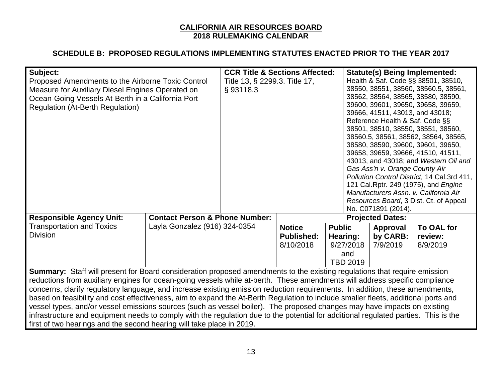| Subject:<br>Proposed Amendments to the Airborne Toxic Control<br>Measure for Auxiliary Diesel Engines Operated on<br>Ocean-Going Vessels At-Berth in a California Port<br><b>Regulation (At-Berth Regulation)</b>                                        |                                           | <b>CCR Title &amp; Sections Affected:</b><br>Title 13, § 2299.3. Title 17,<br>§93118.3 |                                    |               | <b>Statute(s) Being Implemented:</b><br>Health & Saf. Code §§ 38501, 38510,<br>38550, 38551, 38560, 38560.5, 38561,<br>38562, 38564, 38565, 38580, 38590,<br>39600, 39601, 39650, 39658, 39659,<br>39666, 41511, 43013, and 43018;<br>Reference Health & Saf. Code §§<br>38501, 38510, 38550, 38551, 38560,<br>38560.5, 38561, 38562, 38564, 38565,<br>38580, 38590, 39600, 39601, 39650,<br>39658, 39659, 39666, 41510, 41511,<br>43013, and 43018; and Western Oil and<br>Gas Ass'n v. Orange County Air<br>Pollution Control District, 14 Cal.3rd 411,<br>121 Cal.Rptr. 249 (1975), and Engine<br>Manufacturers Assn. v. California Air<br>Resources Board, 3 Dist. Ct. of Appeal |                      |                       |
|----------------------------------------------------------------------------------------------------------------------------------------------------------------------------------------------------------------------------------------------------------|-------------------------------------------|----------------------------------------------------------------------------------------|------------------------------------|---------------|--------------------------------------------------------------------------------------------------------------------------------------------------------------------------------------------------------------------------------------------------------------------------------------------------------------------------------------------------------------------------------------------------------------------------------------------------------------------------------------------------------------------------------------------------------------------------------------------------------------------------------------------------------------------------------------|----------------------|-----------------------|
| <b>Responsible Agency Unit:</b>                                                                                                                                                                                                                          | <b>Contact Person &amp; Phone Number:</b> |                                                                                        | <b>Projected Dates:</b>            |               |                                                                                                                                                                                                                                                                                                                                                                                                                                                                                                                                                                                                                                                                                      |                      |                       |
| <b>Transportation and Toxics</b><br><b>Division</b>                                                                                                                                                                                                      | Layla Gonzalez (916) 324-0354             |                                                                                        | <b>Notice</b><br><b>Published:</b> | <b>Public</b> | Hearing:                                                                                                                                                                                                                                                                                                                                                                                                                                                                                                                                                                                                                                                                             | Approval<br>by CARB: | To OAL for<br>review: |
|                                                                                                                                                                                                                                                          |                                           |                                                                                        | 8/10/2018                          |               | 9/27/2018                                                                                                                                                                                                                                                                                                                                                                                                                                                                                                                                                                                                                                                                            | 7/9/2019             | 8/9/2019              |
|                                                                                                                                                                                                                                                          |                                           |                                                                                        |                                    |               | and                                                                                                                                                                                                                                                                                                                                                                                                                                                                                                                                                                                                                                                                                  |                      |                       |
|                                                                                                                                                                                                                                                          |                                           |                                                                                        |                                    |               | <b>TBD 2019</b>                                                                                                                                                                                                                                                                                                                                                                                                                                                                                                                                                                                                                                                                      |                      |                       |
| Summary: Staff will present for Board consideration proposed amendments to the existing regulations that require emission<br>reductions from auxiliary engines for ocean-going vessels while at-berth. These amendments will address specific compliance |                                           |                                                                                        |                                    |               |                                                                                                                                                                                                                                                                                                                                                                                                                                                                                                                                                                                                                                                                                      |                      |                       |
| concerns, clarify regulatory language, and increase existing emission reduction requirements. In addition, these amendments,                                                                                                                             |                                           |                                                                                        |                                    |               |                                                                                                                                                                                                                                                                                                                                                                                                                                                                                                                                                                                                                                                                                      |                      |                       |
| based on feasibility and cost effectiveness, aim to expand the At-Berth Regulation to include smaller fleets, additional ports and                                                                                                                       |                                           |                                                                                        |                                    |               |                                                                                                                                                                                                                                                                                                                                                                                                                                                                                                                                                                                                                                                                                      |                      |                       |
| vessel types, and/or vessel emissions sources (such as vessel boiler). The proposed changes may have impacts on existing                                                                                                                                 |                                           |                                                                                        |                                    |               |                                                                                                                                                                                                                                                                                                                                                                                                                                                                                                                                                                                                                                                                                      |                      |                       |
| infrastructure and equipment needs to comply with the regulation due to the potential for additional regulated parties. This is the                                                                                                                      |                                           |                                                                                        |                                    |               |                                                                                                                                                                                                                                                                                                                                                                                                                                                                                                                                                                                                                                                                                      |                      |                       |
| first of two hearings and the second hearing will take place in 2019.                                                                                                                                                                                    |                                           |                                                                                        |                                    |               |                                                                                                                                                                                                                                                                                                                                                                                                                                                                                                                                                                                                                                                                                      |                      |                       |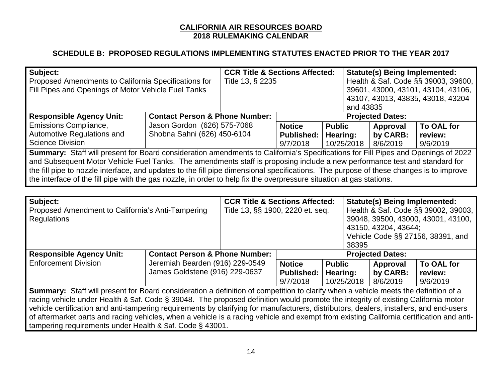| Subject:                                                                                                                                                                                                                                                             |                                           | <b>Statute(s) Being Implemented:</b><br><b>CCR Title &amp; Sections Affected:</b><br>Health & Saf. Code §§ 39003, 39600, |                                                                         |               |            |                                      |                                    |
|----------------------------------------------------------------------------------------------------------------------------------------------------------------------------------------------------------------------------------------------------------------------|-------------------------------------------|--------------------------------------------------------------------------------------------------------------------------|-------------------------------------------------------------------------|---------------|------------|--------------------------------------|------------------------------------|
| Proposed Amendments to California Specifications for<br>Fill Pipes and Openings of Motor Vehicle Fuel Tanks                                                                                                                                                          |                                           | Title 13, § 2235                                                                                                         |                                                                         |               |            |                                      | 39601, 43000, 43101, 43104, 43106, |
|                                                                                                                                                                                                                                                                      |                                           |                                                                                                                          |                                                                         |               |            |                                      | 43107, 43013, 43835, 43018, 43204  |
|                                                                                                                                                                                                                                                                      |                                           |                                                                                                                          | and 43835                                                               |               |            |                                      |                                    |
| <b>Responsible Agency Unit:</b>                                                                                                                                                                                                                                      | <b>Contact Person &amp; Phone Number:</b> |                                                                                                                          |                                                                         |               |            | <b>Projected Dates:</b>              |                                    |
| <b>Emissions Compliance,</b>                                                                                                                                                                                                                                         | Jason Gordon (626) 575-7068               |                                                                                                                          | <b>Notice</b>                                                           | <b>Public</b> |            | Approval                             | To OAL for                         |
| <b>Automotive Regulations and</b>                                                                                                                                                                                                                                    | Shobna Sahni (626) 450-6104               |                                                                                                                          | <b>Published:</b>                                                       | Hearing:      |            | by CARB:                             | review:                            |
| <b>Science Division</b>                                                                                                                                                                                                                                              |                                           |                                                                                                                          | 9/7/2018                                                                |               | 10/25/2018 | 8/6/2019                             | 9/6/2019                           |
| Summary: Staff will present for Board consideration amendments to California's Specifications for Fill Pipes and Openings of 2022                                                                                                                                    |                                           |                                                                                                                          |                                                                         |               |            |                                      |                                    |
| and Subsequent Motor Vehicle Fuel Tanks. The amendments staff is proposing include a new performance test and standard for<br>the fill pipe to nozzle interface, and updates to the fill pipe dimensional specifications. The purpose of these changes is to improve |                                           |                                                                                                                          |                                                                         |               |            |                                      |                                    |
| the interface of the fill pipe with the gas nozzle, in order to help fix the overpressure situation at gas stations.                                                                                                                                                 |                                           |                                                                                                                          |                                                                         |               |            |                                      |                                    |
|                                                                                                                                                                                                                                                                      |                                           |                                                                                                                          |                                                                         |               |            |                                      |                                    |
|                                                                                                                                                                                                                                                                      |                                           |                                                                                                                          |                                                                         |               |            |                                      |                                    |
| Subject:                                                                                                                                                                                                                                                             |                                           | <b>CCR Title &amp; Sections Affected:</b>                                                                                |                                                                         |               |            | <b>Statute(s) Being Implemented:</b> |                                    |
| Proposed Amendment to California's Anti-Tampering                                                                                                                                                                                                                    |                                           |                                                                                                                          | Title 13, §§ 1900, 2220 et. seq.<br>Health & Saf. Code §§ 39002, 39003, |               |            |                                      |                                    |
| Regulations                                                                                                                                                                                                                                                          |                                           |                                                                                                                          |                                                                         |               |            |                                      | 39048, 39500, 43000, 43001, 43100, |
|                                                                                                                                                                                                                                                                      |                                           |                                                                                                                          |                                                                         |               |            | 43150, 43204, 43644;                 |                                    |
|                                                                                                                                                                                                                                                                      |                                           |                                                                                                                          |                                                                         |               | 38395      |                                      | Vehicle Code §§ 27156, 38391, and  |
| <b>Responsible Agency Unit:</b>                                                                                                                                                                                                                                      | <b>Contact Person &amp; Phone Number:</b> |                                                                                                                          |                                                                         |               |            | <b>Projected Dates:</b>              |                                    |
| <b>Enforcement Division</b>                                                                                                                                                                                                                                          | Jeremiah Bearden (916) 229-0549           |                                                                                                                          | <b>Notice</b>                                                           | <b>Public</b> |            | <b>Approval</b>                      | To OAL for                         |
|                                                                                                                                                                                                                                                                      | James Goldstene (916) 229-0637            |                                                                                                                          | <b>Published:</b>                                                       | Hearing:      |            | by CARB:                             | review:                            |
|                                                                                                                                                                                                                                                                      |                                           |                                                                                                                          | 9/7/2018                                                                |               | 10/25/2018 | 8/6/2019                             | 9/6/2019                           |
| Summary: Staff will present for Board consideration a definition of competition to clarify when a vehicle meets the definition of a                                                                                                                                  |                                           |                                                                                                                          |                                                                         |               |            |                                      |                                    |
| racing vehicle under Health & Saf. Code § 39048. The proposed definition would promote the integrity of existing California motor                                                                                                                                    |                                           |                                                                                                                          |                                                                         |               |            |                                      |                                    |
| vehicle certification and anti-tampering requirements by clarifying for manufacturers, distributors, dealers, installers, and end-users                                                                                                                              |                                           |                                                                                                                          |                                                                         |               |            |                                      |                                    |
| of aftermarket parts and racing vehicles, when a vehicle is a racing vehicle and exempt from existing California certification and anti-                                                                                                                             |                                           |                                                                                                                          |                                                                         |               |            |                                      |                                    |
| tampering requirements under Health & Saf. Code § 43001.                                                                                                                                                                                                             |                                           |                                                                                                                          |                                                                         |               |            |                                      |                                    |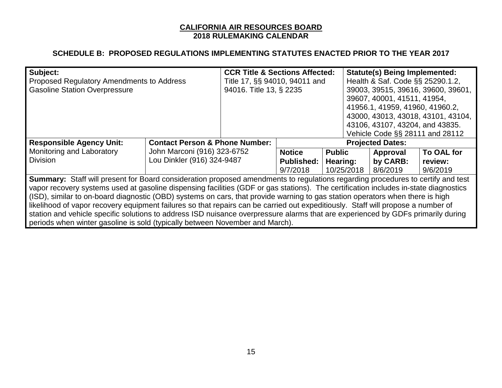| Subject:                                                                                                                             |                                           | <b>CCR Title &amp; Sections Affected:</b> |                   | <b>Statute(s) Being Implemented:</b> |                                    |                                    |  |  |
|--------------------------------------------------------------------------------------------------------------------------------------|-------------------------------------------|-------------------------------------------|-------------------|--------------------------------------|------------------------------------|------------------------------------|--|--|
| Proposed Regulatory Amendments to Address                                                                                            |                                           | Title 17, §§ 94010, 94011 and             |                   | Health & Saf. Code §§ 25290.1.2,     |                                    |                                    |  |  |
| <b>Gasoline Station Overpressure</b>                                                                                                 |                                           | 94016. Title 13, § 2235                   |                   |                                      | 39003, 39515, 39616, 39600, 39601, |                                    |  |  |
|                                                                                                                                      |                                           |                                           |                   |                                      | 39607, 40001, 41511, 41954,        |                                    |  |  |
|                                                                                                                                      |                                           |                                           |                   |                                      | 41956.1, 41959, 41960, 41960.2,    |                                    |  |  |
|                                                                                                                                      |                                           |                                           |                   |                                      |                                    | 43000, 43013, 43018, 43101, 43104, |  |  |
|                                                                                                                                      |                                           |                                           |                   |                                      | 43106, 43107, 43204, and 43835.    |                                    |  |  |
|                                                                                                                                      |                                           |                                           |                   |                                      | Vehicle Code §§ 28111 and 28112    |                                    |  |  |
| <b>Responsible Agency Unit:</b>                                                                                                      | <b>Contact Person &amp; Phone Number:</b> |                                           |                   |                                      | <b>Projected Dates:</b>            |                                    |  |  |
| Monitoring and Laboratory                                                                                                            | John Marconi (916) 323-6752               |                                           | <b>Notice</b>     | <b>Public</b>                        | Approval                           | To OAL for                         |  |  |
| <b>Division</b>                                                                                                                      | Lou Dinkler (916) 324-9487                |                                           | <b>Published:</b> | Hearing:                             | by CARB:                           | review:                            |  |  |
|                                                                                                                                      |                                           |                                           | 9/7/2018          | 10/25/2018                           | 8/6/2019                           | 9/6/2019                           |  |  |
| Summary: Staff will present for Board consideration proposed amendments to regulations regarding procedures to certify and test      |                                           |                                           |                   |                                      |                                    |                                    |  |  |
| vapor recovery systems used at gasoline dispensing facilities (GDF or gas stations). The certification includes in-state diagnostics |                                           |                                           |                   |                                      |                                    |                                    |  |  |
| (ISD), similar to on-board diagnostic (OBD) systems on cars, that provide warning to gas station operators when there is high        |                                           |                                           |                   |                                      |                                    |                                    |  |  |
| likelihood of vapor recovery equipment failures so that repairs can be carried out expeditiously. Staff will propose a number of     |                                           |                                           |                   |                                      |                                    |                                    |  |  |
| station and vehicle specific solutions to address ISD nuisance overpressure alarms that are experienced by GDFs primarily during     |                                           |                                           |                   |                                      |                                    |                                    |  |  |
| periods when winter gasoline is sold (typically between November and March).                                                         |                                           |                                           |                   |                                      |                                    |                                    |  |  |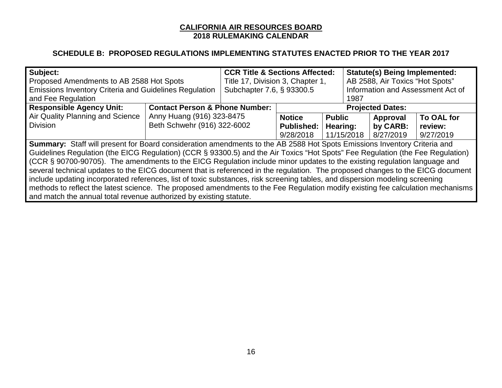| Subject:                                                                                                                        |                                           | <b>CCR Title &amp; Sections Affected:</b>                      |                   | <b>Statute(s) Being Implemented:</b> |           |            |
|---------------------------------------------------------------------------------------------------------------------------------|-------------------------------------------|----------------------------------------------------------------|-------------------|--------------------------------------|-----------|------------|
| Proposed Amendments to AB 2588 Hot Spots                                                                                        |                                           | Title 17, Division 3, Chapter 1,                               |                   | AB 2588, Air Toxics "Hot Spots"      |           |            |
| Emissions Inventory Criteria and Guidelines Regulation                                                                          |                                           | Information and Assessment Act of<br>Subchapter 7.6, § 93300.5 |                   |                                      |           |            |
| and Fee Regulation                                                                                                              |                                           |                                                                | 1987              |                                      |           |            |
| <b>Responsible Agency Unit:</b>                                                                                                 | <b>Contact Person &amp; Phone Number:</b> | <b>Projected Dates:</b>                                        |                   |                                      |           |            |
| Air Quality Planning and Science                                                                                                | Anny Huang (916) 323-8475                 |                                                                | <b>Notice</b>     | <b>Public</b>                        | Approval  | To OAL for |
| <b>Division</b>                                                                                                                 | Beth Schwehr (916) 322-6002               |                                                                | <b>Published:</b> | Hearing:                             | by CARB:  | review:    |
|                                                                                                                                 |                                           |                                                                | 9/28/2018         | 11/15/2018                           | 8/27/2019 | 9/27/2019  |
| Summary: Staff will present for Board consideration amendments to the AB 2588 Hot Spots Emissions Inventory Criteria and        |                                           |                                                                |                   |                                      |           |            |
| Guidelines Regulation (the EICG Regulation) (CCR § 93300.5) and the Air Toxics "Hot Spots" Fee Regulation (the Fee Regulation)  |                                           |                                                                |                   |                                      |           |            |
| (CCR § 90700-90705). The amendments to the EICG Regulation include minor updates to the existing regulation language and        |                                           |                                                                |                   |                                      |           |            |
| several technical updates to the EICG document that is referenced in the regulation. The proposed changes to the EICG document  |                                           |                                                                |                   |                                      |           |            |
| include updating incorporated references, list of toxic substances, risk screening tables, and dispersion modeling screening    |                                           |                                                                |                   |                                      |           |            |
| methods to reflect the latest science. The proposed amendments to the Fee Regulation modify existing fee calculation mechanisms |                                           |                                                                |                   |                                      |           |            |
| and match the annual total revenue authorized by existing statute.                                                              |                                           |                                                                |                   |                                      |           |            |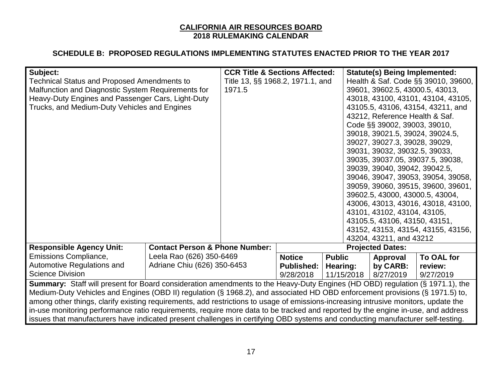| Subject:<br><b>Technical Status and Proposed Amendments to</b><br>Malfunction and Diagnostic System Requirements for<br>Heavy-Duty Engines and Passenger Cars, Light-Duty<br>Trucks, and Medium-Duty Vehicles and Engines                                                                                                                                                                                                                                                                                                                                                                                                                                                  |                                                         | Title 13, §§ 1968.2, 1971.1, and<br>1971.5 |                                                 |                                         | Health & Saf. Code §§ 39010, 39600,<br>39601, 39602.5, 43000.5, 43013,<br>43018, 43100, 43101, 43104, 43105,<br>43105.5, 43106, 43154, 43211, and<br>43212, Reference Health & Saf.<br>Code §§ 39002, 39003, 39010,<br>39018, 39021.5, 39024, 39024.5,<br>39027, 39027.3, 39028, 39029,<br>39031, 39032, 39032.5, 39033,<br>39035, 39037.05, 39037.5, 39038,<br>39039, 39040, 39042, 39042.5,<br>39046, 39047, 39053, 39054, 39058,<br>39059, 39060, 39515, 39600, 39601,<br>39602.5, 43000, 43000.5, 43004,<br>43006, 43013, 43016, 43018, 43100,<br>43101, 43102, 43104, 43105,<br>43105.5, 43106, 43150, 43151,<br>43152, 43153, 43154, 43155, 43156,<br>43204, 43211, and 43212 |                                    |  |
|----------------------------------------------------------------------------------------------------------------------------------------------------------------------------------------------------------------------------------------------------------------------------------------------------------------------------------------------------------------------------------------------------------------------------------------------------------------------------------------------------------------------------------------------------------------------------------------------------------------------------------------------------------------------------|---------------------------------------------------------|--------------------------------------------|-------------------------------------------------|-----------------------------------------|-------------------------------------------------------------------------------------------------------------------------------------------------------------------------------------------------------------------------------------------------------------------------------------------------------------------------------------------------------------------------------------------------------------------------------------------------------------------------------------------------------------------------------------------------------------------------------------------------------------------------------------------------------------------------------------|------------------------------------|--|
| <b>Responsible Agency Unit:</b>                                                                                                                                                                                                                                                                                                                                                                                                                                                                                                                                                                                                                                            | <b>Contact Person &amp; Phone Number:</b>               |                                            |                                                 |                                         | <b>Projected Dates:</b>                                                                                                                                                                                                                                                                                                                                                                                                                                                                                                                                                                                                                                                             |                                    |  |
| <b>Emissions Compliance,</b><br>Automotive Regulations and<br><b>Science Division</b>                                                                                                                                                                                                                                                                                                                                                                                                                                                                                                                                                                                      | Leela Rao (626) 350-6469<br>Adriane Chiu (626) 350-6453 |                                            | <b>Notice</b><br><b>Published:</b><br>9/28/2018 | <b>Public</b><br>Hearing:<br>11/15/2018 | Approval<br>by CARB:<br>8/27/2019                                                                                                                                                                                                                                                                                                                                                                                                                                                                                                                                                                                                                                                   | To OAL for<br>review:<br>9/27/2019 |  |
| Summary: Staff will present for Board consideration amendments to the Heavy-Duty Engines (HD OBD) regulation (§ 1971.1), the<br>Medium-Duty Vehicles and Engines (OBD II) regulation (§ 1968.2), and associated HD OBD enforcement provisions (§ 1971.5) to,<br>among other things, clarify existing requirements, add restrictions to usage of emissions-increasing intrusive monitors, update the<br>in-use monitoring performance ratio requirements, require more data to be tracked and reported by the engine in-use, and address<br>issues that manufacturers have indicated present challenges in certifying OBD systems and conducting manufacturer self-testing. |                                                         |                                            |                                                 |                                         |                                                                                                                                                                                                                                                                                                                                                                                                                                                                                                                                                                                                                                                                                     |                                    |  |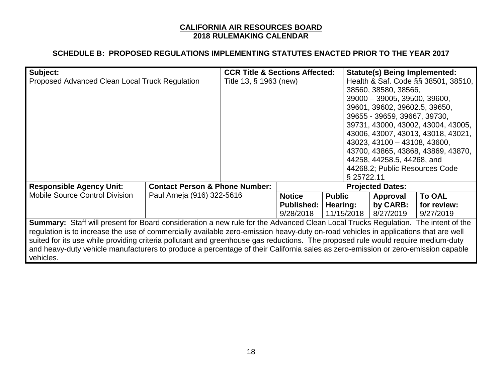| Subject:                                                                                                                                |                                                                                                                                  | <b>CCR Title &amp; Sections Affected:</b> |                   |               |                                    | <b>Statute(s) Being Implemented:</b> |                                     |  |
|-----------------------------------------------------------------------------------------------------------------------------------------|----------------------------------------------------------------------------------------------------------------------------------|-------------------------------------------|-------------------|---------------|------------------------------------|--------------------------------------|-------------------------------------|--|
| Proposed Advanced Clean Local Truck Regulation                                                                                          |                                                                                                                                  | Title 13, § 1963 (new)                    |                   |               |                                    |                                      | Health & Saf. Code §§ 38501, 38510, |  |
|                                                                                                                                         |                                                                                                                                  |                                           |                   |               |                                    | 38560, 38580, 38566,                 |                                     |  |
|                                                                                                                                         |                                                                                                                                  |                                           |                   |               | $39000 - 39005, 39500, 39600,$     |                                      |                                     |  |
|                                                                                                                                         |                                                                                                                                  |                                           |                   |               |                                    | 39601, 39602, 39602.5, 39650,        |                                     |  |
|                                                                                                                                         |                                                                                                                                  |                                           |                   |               |                                    | 39655 - 39659, 39667, 39730,         |                                     |  |
|                                                                                                                                         |                                                                                                                                  |                                           |                   |               |                                    |                                      |                                     |  |
|                                                                                                                                         |                                                                                                                                  |                                           |                   |               |                                    |                                      | 39731, 43000, 43002, 43004, 43005,  |  |
|                                                                                                                                         |                                                                                                                                  |                                           |                   |               |                                    |                                      | 43006, 43007, 43013, 43018, 43021,  |  |
|                                                                                                                                         |                                                                                                                                  |                                           |                   |               | 43023, 43100 - 43108, 43600,       |                                      |                                     |  |
|                                                                                                                                         |                                                                                                                                  |                                           |                   |               | 43700, 43865, 43868, 43869, 43870, |                                      |                                     |  |
|                                                                                                                                         |                                                                                                                                  |                                           |                   |               | 44258, 44258.5, 44268, and         |                                      |                                     |  |
|                                                                                                                                         |                                                                                                                                  |                                           |                   |               | 44268.2; Public Resources Code     |                                      |                                     |  |
|                                                                                                                                         |                                                                                                                                  |                                           |                   |               | § 25722.11                         |                                      |                                     |  |
| <b>Responsible Agency Unit:</b>                                                                                                         | <b>Contact Person &amp; Phone Number:</b>                                                                                        |                                           |                   |               |                                    | <b>Projected Dates:</b>              |                                     |  |
| <b>Mobile Source Control Division</b>                                                                                                   | Paul Arneja (916) 322-5616                                                                                                       |                                           | <b>Notice</b>     | <b>Public</b> |                                    | Approval                             | <b>To OAL</b>                       |  |
|                                                                                                                                         |                                                                                                                                  |                                           | <b>Published:</b> | Hearing:      |                                    | by CARB:                             | for review:                         |  |
|                                                                                                                                         |                                                                                                                                  |                                           | 9/28/2018         |               | 11/15/2018                         | 8/27/2019                            | 9/27/2019                           |  |
| <b>Summary:</b> Staff will present for Board consideration a new rule for the Advanced Clean Local Trucks Regulation. The intent of the |                                                                                                                                  |                                           |                   |               |                                    |                                      |                                     |  |
| regulation is to increase the use of commercially available zero-emission heavy-duty on-road vehicles in applications that are well     |                                                                                                                                  |                                           |                   |               |                                    |                                      |                                     |  |
| suited for its use while providing criteria pollutant and greenhouse gas reductions. The proposed rule would require medium-duty        |                                                                                                                                  |                                           |                   |               |                                    |                                      |                                     |  |
|                                                                                                                                         | and heavy-duty vehicle manufacturers to produce a percentage of their California sales as zero-emission or zero-emission capable |                                           |                   |               |                                    |                                      |                                     |  |
| vehicles.                                                                                                                               |                                                                                                                                  |                                           |                   |               |                                    |                                      |                                     |  |
|                                                                                                                                         |                                                                                                                                  |                                           |                   |               |                                    |                                      |                                     |  |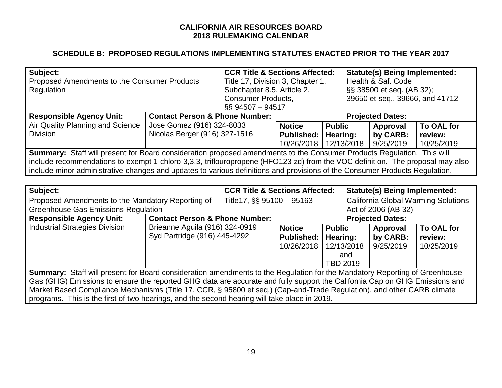| Subject:                                                                                                                      |                                           | <b>CCR Title &amp; Sections Affected:</b> |                         | <b>Statute(s) Being Implemented:</b> |                                 |            |  |
|-------------------------------------------------------------------------------------------------------------------------------|-------------------------------------------|-------------------------------------------|-------------------------|--------------------------------------|---------------------------------|------------|--|
| Proposed Amendments to the Consumer Products                                                                                  |                                           | Title 17, Division 3, Chapter 1,          |                         | Health & Saf. Code                   |                                 |            |  |
| Regulation                                                                                                                    |                                           | Subchapter 8.5, Article 2,                |                         | §§ 38500 et seq. (AB 32);            |                                 |            |  |
|                                                                                                                               | <b>Consumer Products,</b>                 |                                           |                         |                                      | 39650 et seq., 39666, and 41712 |            |  |
|                                                                                                                               |                                           | §§ 94507 - 94517                          |                         |                                      |                                 |            |  |
| <b>Responsible Agency Unit:</b>                                                                                               | <b>Contact Person &amp; Phone Number:</b> |                                           | <b>Projected Dates:</b> |                                      |                                 |            |  |
| Air Quality Planning and Science                                                                                              | Jose Gomez (916) 324-8033                 |                                           | <b>Notice</b>           | <b>Public</b>                        | Approval                        | To OAL for |  |
| <b>Division</b>                                                                                                               | Nicolas Berger (916) 327-1516             |                                           | Published:              | Hearing:                             | by CARB:                        | review:    |  |
|                                                                                                                               |                                           |                                           | 10/26/2018              | 12/13/2018                           | 9/25/2019                       | 10/25/2019 |  |
| Summary: Staff will present for Board consideration proposed amendments to the Consumer Products Regulation. This will        |                                           |                                           |                         |                                      |                                 |            |  |
| include recommendations to exempt 1-chloro-3,3,3,-triflouropropene (HFO123 zd) from the VOC definition. The proposal may also |                                           |                                           |                         |                                      |                                 |            |  |
| include minor administrative changes and updates to various definitions and provisions of the Consumer Products Regulation.   |                                           |                                           |                         |                                      |                                 |            |  |

| Subject:                                                                                                                   |                                           | <b>CCR Title &amp; Sections Affected:</b> |                   |                     | <b>Statute(s) Being Implemented:</b> |                                            |  |  |
|----------------------------------------------------------------------------------------------------------------------------|-------------------------------------------|-------------------------------------------|-------------------|---------------------|--------------------------------------|--------------------------------------------|--|--|
|                                                                                                                            |                                           |                                           |                   |                     |                                      |                                            |  |  |
| Proposed Amendments to the Mandatory Reporting of                                                                          |                                           | Title17, §§ 95100 - 95163                 |                   |                     |                                      | <b>California Global Warming Solutions</b> |  |  |
| <b>Greenhouse Gas Emissions Regulation</b>                                                                                 |                                           |                                           |                   | Act of 2006 (AB 32) |                                      |                                            |  |  |
| <b>Responsible Agency Unit:</b>                                                                                            | <b>Contact Person &amp; Phone Number:</b> |                                           |                   |                     | <b>Projected Dates:</b>              |                                            |  |  |
| Industrial Strategies Division                                                                                             | Brieanne Aguila (916) 324-0919            |                                           | <b>Notice</b>     | <b>Public</b>       | Approval                             | To OAL for                                 |  |  |
|                                                                                                                            | Syd Partridge (916) 445-4292              |                                           | <b>Published:</b> | Hearing:            | by CARB:                             | review:                                    |  |  |
|                                                                                                                            |                                           |                                           | 10/26/2018        | 12/13/2018          | 9/25/2019                            | 10/25/2019                                 |  |  |
|                                                                                                                            |                                           |                                           |                   |                     |                                      |                                            |  |  |
|                                                                                                                            |                                           |                                           |                   | and                 |                                      |                                            |  |  |
|                                                                                                                            |                                           |                                           |                   | <b>TBD 2019</b>     |                                      |                                            |  |  |
| Summary: Staff will present for Board consideration amendments to the Regulation for the Mandatory Reporting of Greenhouse |                                           |                                           |                   |                     |                                      |                                            |  |  |
| Gas (GHG) Emissions to ensure the reported GHG data are accurate and fully support the California Cap on GHG Emissions and |                                           |                                           |                   |                     |                                      |                                            |  |  |
| Market Based Compliance Mechanisms (Title 17, CCR, § 95800 et seq.) (Cap-and-Trade Regulation), and other CARB climate     |                                           |                                           |                   |                     |                                      |                                            |  |  |
| programs. This is the first of two hearings, and the second hearing will take place in 2019.                               |                                           |                                           |                   |                     |                                      |                                            |  |  |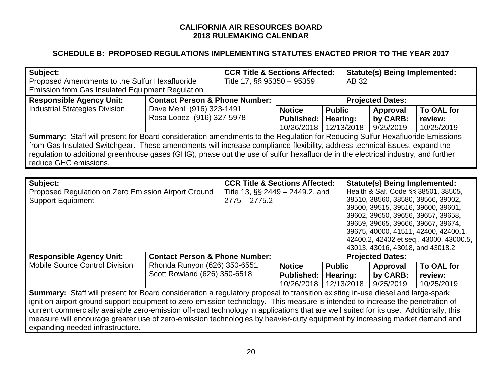| Subject:                                                                                                                              | <b>CCR Title &amp; Sections Affected:</b> |                                                                          |                                                                            |               |            | <b>Statute(s) Being Implemented:</b> |                                         |
|---------------------------------------------------------------------------------------------------------------------------------------|-------------------------------------------|--------------------------------------------------------------------------|----------------------------------------------------------------------------|---------------|------------|--------------------------------------|-----------------------------------------|
| Proposed Amendments to the Sulfur Hexafluoride                                                                                        |                                           | Title 17, §§ 95350 - 95359                                               |                                                                            |               | AB 32      |                                      |                                         |
| <b>Emission from Gas Insulated Equipment Regulation</b>                                                                               |                                           |                                                                          |                                                                            |               |            |                                      |                                         |
| <b>Responsible Agency Unit:</b>                                                                                                       | <b>Contact Person &amp; Phone Number:</b> |                                                                          | <b>Projected Dates:</b>                                                    |               |            |                                      |                                         |
| <b>Industrial Strategies Division</b>                                                                                                 | Dave Mehl (916) 323-1491                  |                                                                          | <b>Notice</b>                                                              | <b>Public</b> |            | Approval                             | To OAL for                              |
|                                                                                                                                       | Rosa Lopez (916) 327-5978                 |                                                                          | <b>Published:</b>                                                          | Hearing:      |            | by CARB:                             | review:                                 |
|                                                                                                                                       |                                           |                                                                          |                                                                            |               | 12/13/2018 | 9/25/2019                            | 10/25/2019                              |
| Summary: Staff will present for Board consideration amendments to the Regulation for Reducing Sulfur Hexafluoride Emissions           |                                           |                                                                          |                                                                            |               |            |                                      |                                         |
| from Gas Insulated Switchgear. These amendments will increase compliance flexibility, address technical issues, expand the            |                                           |                                                                          |                                                                            |               |            |                                      |                                         |
| regulation to additional greenhouse gases (GHG), phase out the use of sulfur hexafluoride in the electrical industry, and further     |                                           |                                                                          |                                                                            |               |            |                                      |                                         |
| reduce GHG emissions.                                                                                                                 |                                           |                                                                          |                                                                            |               |            |                                      |                                         |
|                                                                                                                                       |                                           |                                                                          |                                                                            |               |            |                                      |                                         |
| Subject:<br><b>CCR Title &amp; Sections Affected:</b><br><b>Statute(s) Being Implemented:</b>                                         |                                           |                                                                          |                                                                            |               |            |                                      |                                         |
| Proposed Regulation on Zero Emission Airport Ground                                                                                   |                                           | Health & Saf. Code §§ 38501, 38505,<br>Title 13, $\S$ 2449 – 2449.2, and |                                                                            |               |            |                                      |                                         |
| <b>Support Equipment</b>                                                                                                              |                                           | 38510, 38560, 38580, 38566, 39002,<br>$2775 - 2775.2$                    |                                                                            |               |            |                                      |                                         |
|                                                                                                                                       |                                           | 39500, 39515, 39516, 39600, 39601,                                       |                                                                            |               |            |                                      |                                         |
|                                                                                                                                       |                                           | 39602, 39650, 39656, 39657, 39658,                                       |                                                                            |               |            |                                      |                                         |
|                                                                                                                                       |                                           |                                                                          | 39659, 39665, 39666, 39667, 39674,<br>39675, 40000, 41511, 42400, 42400.1, |               |            |                                      |                                         |
|                                                                                                                                       |                                           |                                                                          |                                                                            |               |            |                                      | 42400.2, 42402 et seq., 43000, 43000.5, |
|                                                                                                                                       |                                           |                                                                          |                                                                            |               |            | 43013, 43016, 43018, and 43018.2     |                                         |
| <b>Responsible Agency Unit:</b>                                                                                                       | <b>Contact Person &amp; Phone Number:</b> |                                                                          |                                                                            |               |            | <b>Projected Dates:</b>              |                                         |
| <b>Mobile Source Control Division</b>                                                                                                 | Rhonda Runyon (626) 350-6551              |                                                                          | <b>Notice</b>                                                              | <b>Public</b> |            | Approval                             | To OAL for                              |
|                                                                                                                                       | Scott Rowland (626) 350-6518              |                                                                          | <b>Published:</b>                                                          | Hearing:      |            | by CARB:                             | review:                                 |
|                                                                                                                                       |                                           |                                                                          | 10/26/2018                                                                 |               | 12/13/2018 | 9/25/2019                            | 10/25/2019                              |
| Summary: Staff will present for Board consideration a regulatory proposal to transition existing in-use diesel and large-spark        |                                           |                                                                          |                                                                            |               |            |                                      |                                         |
| ignition airport ground support equipment to zero-emission technology. This measure is intended to increase the penetration of        |                                           |                                                                          |                                                                            |               |            |                                      |                                         |
| current commercially available zero-emission off-road technology in applications that are well suited for its use. Additionally, this |                                           |                                                                          |                                                                            |               |            |                                      |                                         |
| measure will encourage greater use of zero-emission technologies by heavier-duty equipment by increasing market demand and            |                                           |                                                                          |                                                                            |               |            |                                      |                                         |
| expanding needed infrastructure.                                                                                                      |                                           |                                                                          |                                                                            |               |            |                                      |                                         |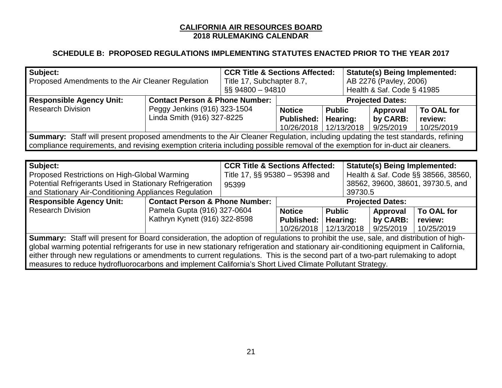| Subject:                                                                                                                                     |                                           | <b>CCR Title &amp; Sections Affected:</b>                                   |                                                                                   |               | <b>Statute(s) Being Implemented:</b> |           |            |  |
|----------------------------------------------------------------------------------------------------------------------------------------------|-------------------------------------------|-----------------------------------------------------------------------------|-----------------------------------------------------------------------------------|---------------|--------------------------------------|-----------|------------|--|
| Proposed Amendments to the Air Cleaner Regulation                                                                                            |                                           | Title 17, Subchapter 8.7,                                                   |                                                                                   |               | AB 2276 (Pavley, 2006)               |           |            |  |
|                                                                                                                                              |                                           | $\S$ SS 94800 - 94810                                                       |                                                                                   |               | Health & Saf. Code § 41985           |           |            |  |
| <b>Responsible Agency Unit:</b>                                                                                                              | <b>Contact Person &amp; Phone Number:</b> | <b>Projected Dates:</b>                                                     |                                                                                   |               |                                      |           |            |  |
| <b>Research Division</b>                                                                                                                     | Peggy Jenkins (916) 323-1504              |                                                                             | <b>Notice</b>                                                                     | <b>Public</b> |                                      | Approval  | To OAL for |  |
|                                                                                                                                              | Linda Smith (916) 327-8225                |                                                                             | <b>Published:</b>                                                                 | Hearing:      |                                      | by CARB:  | review:    |  |
|                                                                                                                                              |                                           |                                                                             | 10/26/2018                                                                        | 12/13/2018    |                                      | 9/25/2019 | 10/25/2019 |  |
| <b>Summary:</b> Staff will present proposed amendments to the Air Cleaner Regulation, including updating the test standards, refining        |                                           |                                                                             |                                                                                   |               |                                      |           |            |  |
| compliance requirements, and revising exemption criteria including possible removal of the exemption for in-duct air cleaners.               |                                           |                                                                             |                                                                                   |               |                                      |           |            |  |
|                                                                                                                                              |                                           |                                                                             |                                                                                   |               |                                      |           |            |  |
| Subject:                                                                                                                                     |                                           |                                                                             | <b>CCR Title &amp; Sections Affected:</b><br><b>Statute(s) Being Implemented:</b> |               |                                      |           |            |  |
| Proposed Restrictions on High-Global Warming                                                                                                 |                                           | Health & Saf. Code §§ 38566, 38560,<br>Title 17, $\S$ $S$ 95380 – 95398 and |                                                                                   |               |                                      |           |            |  |
| Potential Refrigerants Used in Stationary Refrigeration                                                                                      |                                           | 95399                                                                       | 38562, 39600, 38601, 39730.5, and                                                 |               |                                      |           |            |  |
| and Stationary Air-Conditioning Appliances Regulation                                                                                        |                                           | 39730.5                                                                     |                                                                                   |               |                                      |           |            |  |
| <b>Responsible Agency Unit:</b>                                                                                                              | <b>Contact Person &amp; Phone Number:</b> |                                                                             |                                                                                   |               | <b>Projected Dates:</b>              |           |            |  |
| <b>Research Division</b>                                                                                                                     | Pamela Gupta (916) 327-0604               |                                                                             | <b>Notice</b>                                                                     |               | <b>Public</b><br>Approval            |           | To OAL for |  |
|                                                                                                                                              | Kathryn Kynett (916) 322-8598             |                                                                             | <b>Published:</b>                                                                 | Hearing:      |                                      | by CARB:  | review:    |  |
|                                                                                                                                              |                                           |                                                                             | 10/26/2018                                                                        | 12/13/2018    |                                      | 9/25/2019 | 10/25/2019 |  |
| <b>Summary:</b> Staff will present for Board consideration, the adoption of regulations to prohibit the use, sale, and distribution of high- |                                           |                                                                             |                                                                                   |               |                                      |           |            |  |
| global warming potential refrigerants for use in new stationary refrigeration and stationary air-conditioning equipment in California,       |                                           |                                                                             |                                                                                   |               |                                      |           |            |  |
| either through new regulations or amendments to current regulations. This is the second part of a two-part rulemaking to adopt               |                                           |                                                                             |                                                                                   |               |                                      |           |            |  |
| measures to reduce hydrofluorocarbons and implement California's Short Lived Climate Pollutant Strategy.                                     |                                           |                                                                             |                                                                                   |               |                                      |           |            |  |